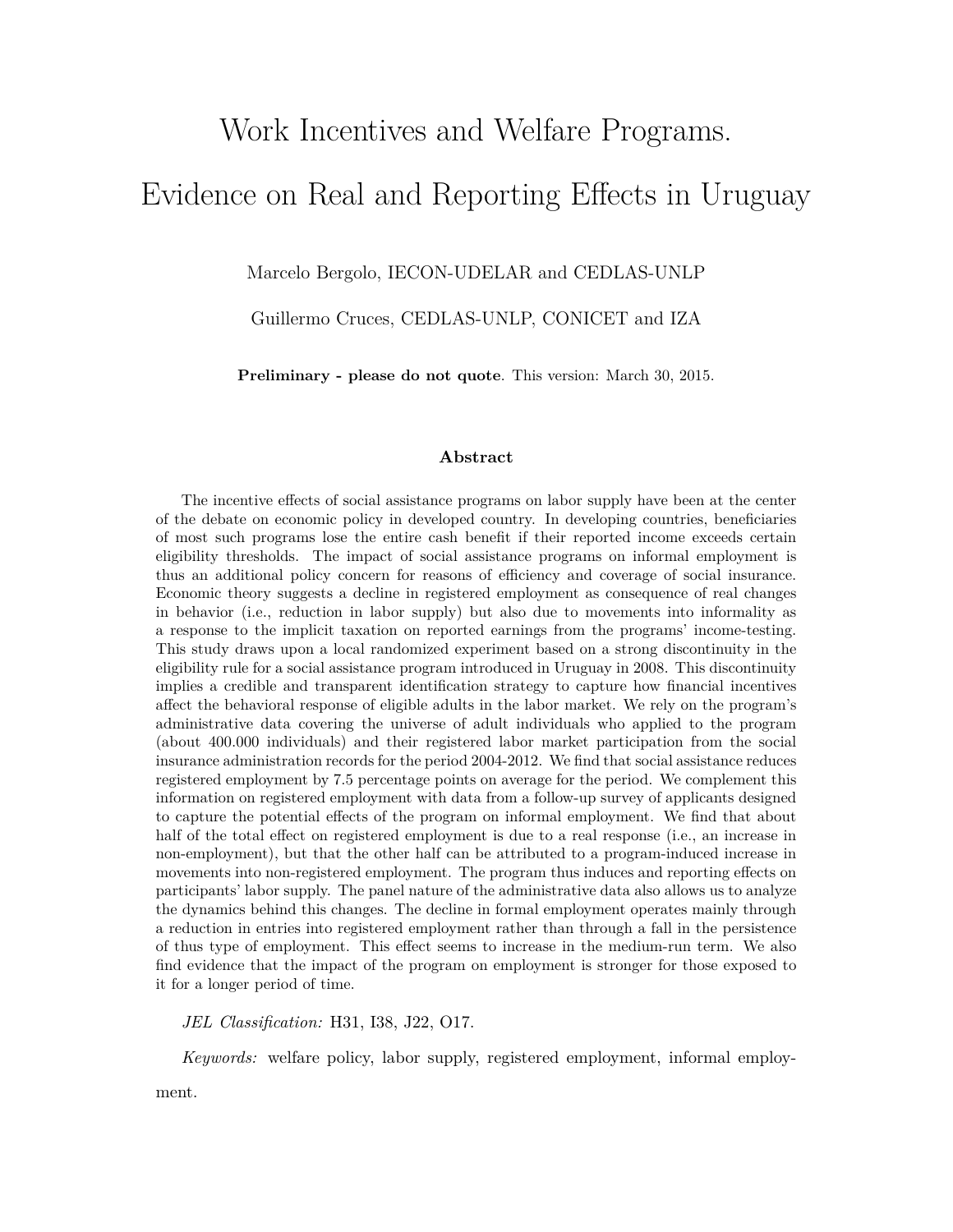# Work Incentives and Welfare Programs. Evidence on Real and Reporting Effects in Uruguay

Marcelo Bergolo, IECON-UDELAR and CEDLAS-UNLP

Guillermo Cruces, CEDLAS-UNLP, CONICET and IZA

**Preliminary - please do not quote**. This version: March 30, 2015.

#### **Abstract**

The incentive effects of social assistance programs on labor supply have been at the center of the debate on economic policy in developed country. In developing countries, beneficiaries of most such programs lose the entire cash benefit if their reported income exceeds certain eligibility thresholds. The impact of social assistance programs on informal employment is thus an additional policy concern for reasons of efficiency and coverage of social insurance. Economic theory suggests a decline in registered employment as consequence of real changes in behavior (i.e., reduction in labor supply) but also due to movements into informality as a response to the implicit taxation on reported earnings from the programs' income-testing. This study draws upon a local randomized experiment based on a strong discontinuity in the eligibility rule for a social assistance program introduced in Uruguay in 2008. This discontinuity implies a credible and transparent identification strategy to capture how financial incentives affect the behavioral response of eligible adults in the labor market. We rely on the program's administrative data covering the universe of adult individuals who applied to the program (about 400.000 individuals) and their registered labor market participation from the social insurance administration records for the period 2004-2012. We find that social assistance reduces registered employment by 7.5 percentage points on average for the period. We complement this information on registered employment with data from a follow-up survey of applicants designed to capture the potential effects of the program on informal employment. We find that about half of the total effect on registered employment is due to a real response (i.e., an increase in non-employment), but that the other half can be attributed to a program-induced increase in movements into non-registered employment. The program thus induces and reporting effects on participants' labor supply. The panel nature of the administrative data also allows us to analyze the dynamics behind this changes. The decline in formal employment operates mainly through a reduction in entries into registered employment rather than through a fall in the persistence of thus type of employment. This effect seems to increase in the medium-run term. We also find evidence that the impact of the program on employment is stronger for those exposed to it for a longer period of time.

*JEL Classification:* H31, I38, J22, O17.

*Keywords:* welfare policy, labor supply, registered employment, informal employ-

ment.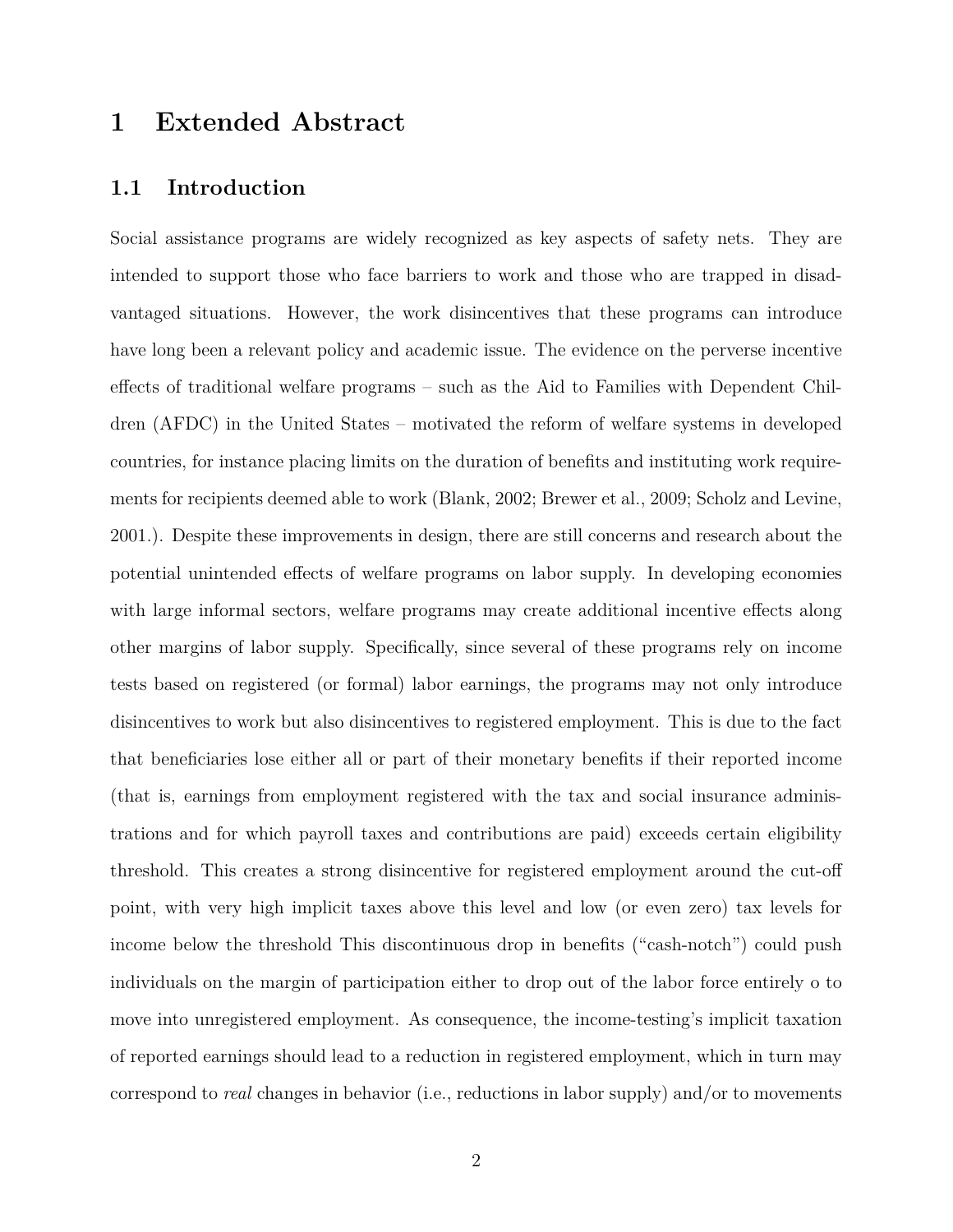### **1 Extended Abstract**

#### **1.1 Introduction**

Social assistance programs are widely recognized as key aspects of safety nets. They are intended to support those who face barriers to work and those who are trapped in disadvantaged situations. However, the work disincentives that these programs can introduce have long been a relevant policy and academic issue. The evidence on the perverse incentive effects of traditional welfare programs – such as the Aid to Families with Dependent Children (AFDC) in the United States – motivated the reform of welfare systems in developed countries, for instance placing limits on the duration of benefits and instituting work requirements for recipients deemed able to work (Blank, 2002; Brewer et al., 2009; Scholz and Levine, 2001.). Despite these improvements in design, there are still concerns and research about the potential unintended effects of welfare programs on labor supply. In developing economies with large informal sectors, welfare programs may create additional incentive effects along other margins of labor supply. Specifically, since several of these programs rely on income tests based on registered (or formal) labor earnings, the programs may not only introduce disincentives to work but also disincentives to registered employment. This is due to the fact that beneficiaries lose either all or part of their monetary benefits if their reported income (that is, earnings from employment registered with the tax and social insurance administrations and for which payroll taxes and contributions are paid) exceeds certain eligibility threshold. This creates a strong disincentive for registered employment around the cut-off point, with very high implicit taxes above this level and low (or even zero) tax levels for income below the threshold This discontinuous drop in benefits ("cash-notch") could push individuals on the margin of participation either to drop out of the labor force entirely o to move into unregistered employment. As consequence, the income-testing's implicit taxation of reported earnings should lead to a reduction in registered employment, which in turn may correspond to *real* changes in behavior (i.e., reductions in labor supply) and/or to movements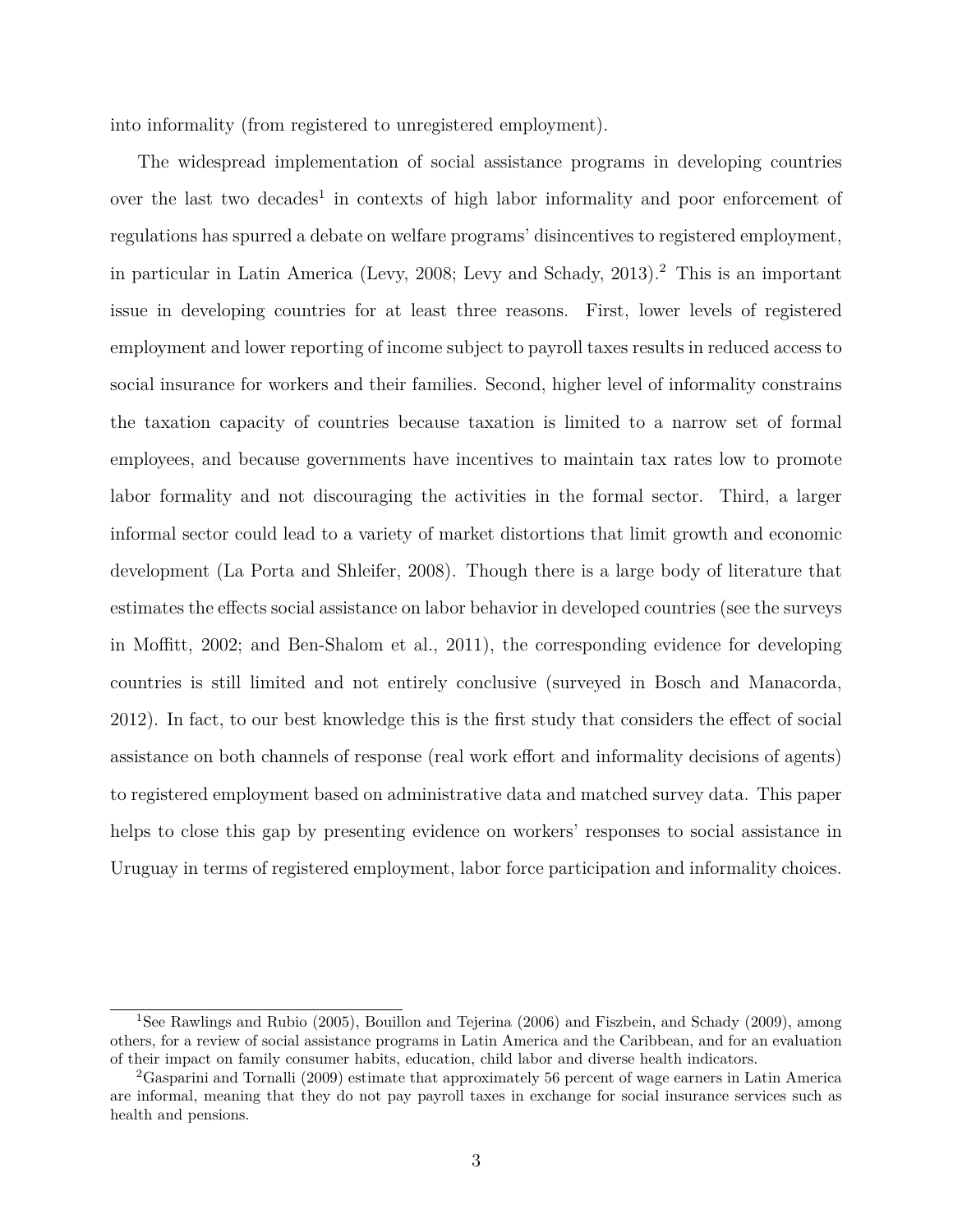into informality (from registered to unregistered employment).

The widespread implementation of social assistance programs in developing countries over the last two decades<sup>1</sup> in contexts of high labor informality and poor enforcement of regulations has spurred a debate on welfare programs' disincentives to registered employment, in particular in Latin America (Levy, 2008; Levy and Schady, 2013).<sup>2</sup> This is an important issue in developing countries for at least three reasons. First, lower levels of registered employment and lower reporting of income subject to payroll taxes results in reduced access to social insurance for workers and their families. Second, higher level of informality constrains the taxation capacity of countries because taxation is limited to a narrow set of formal employees, and because governments have incentives to maintain tax rates low to promote labor formality and not discouraging the activities in the formal sector. Third, a larger informal sector could lead to a variety of market distortions that limit growth and economic development (La Porta and Shleifer, 2008). Though there is a large body of literature that estimates the effects social assistance on labor behavior in developed countries (see the surveys in Moffitt, 2002; and Ben-Shalom et al., 2011), the corresponding evidence for developing countries is still limited and not entirely conclusive (surveyed in Bosch and Manacorda, 2012). In fact, to our best knowledge this is the first study that considers the effect of social assistance on both channels of response (real work effort and informality decisions of agents) to registered employment based on administrative data and matched survey data. This paper helps to close this gap by presenting evidence on workers' responses to social assistance in Uruguay in terms of registered employment, labor force participation and informality choices.

<sup>1</sup>See Rawlings and Rubio (2005), Bouillon and Tejerina (2006) and Fiszbein, and Schady (2009), among others, for a review of social assistance programs in Latin America and the Caribbean, and for an evaluation of their impact on family consumer habits, education, child labor and diverse health indicators.

<sup>2</sup>Gasparini and Tornalli (2009) estimate that approximately 56 percent of wage earners in Latin America are informal, meaning that they do not pay payroll taxes in exchange for social insurance services such as health and pensions.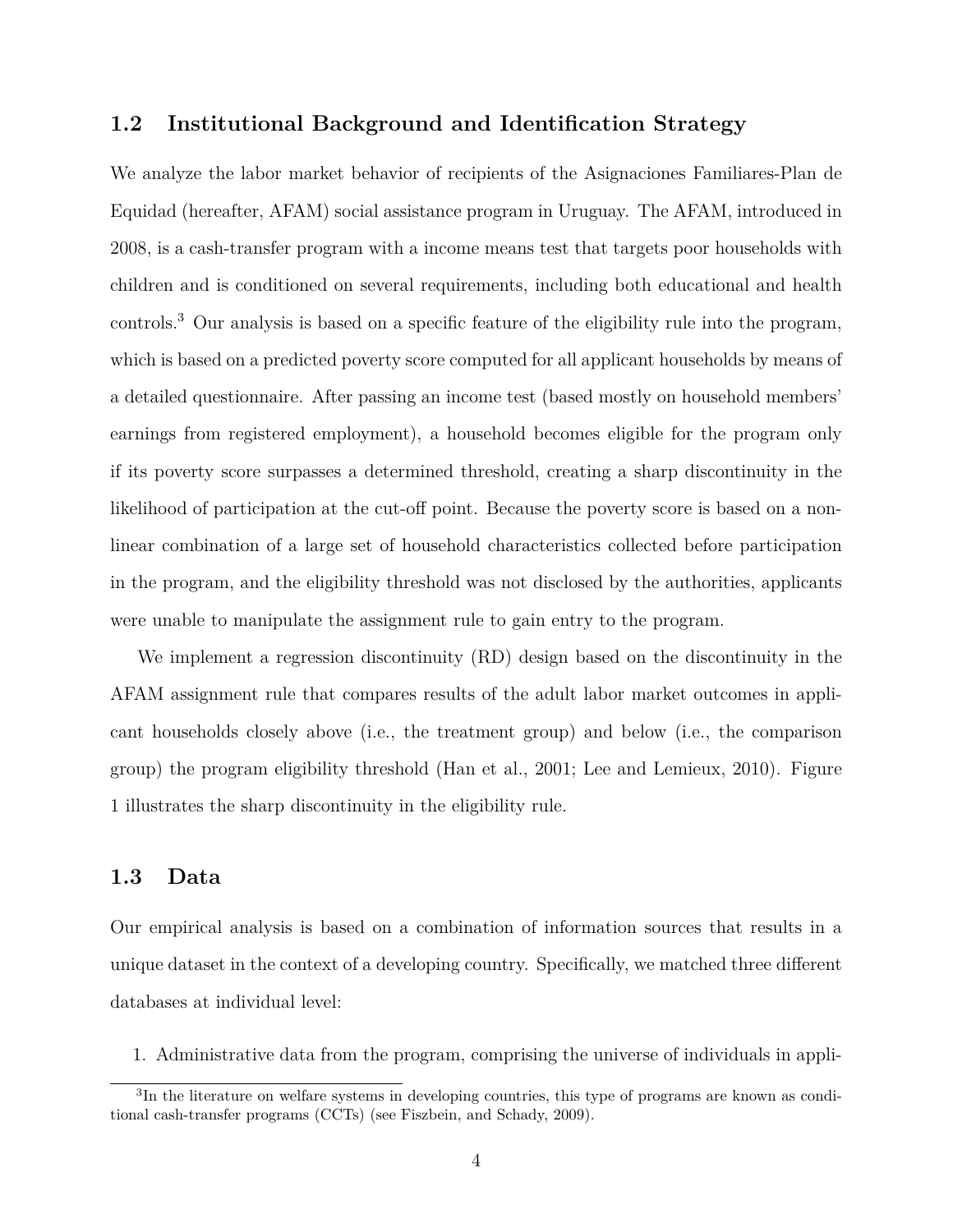#### **1.2 Institutional Background and Identification Strategy**

We analyze the labor market behavior of recipients of the Asignaciones Familiares-Plan de Equidad (hereafter, AFAM) social assistance program in Uruguay. The AFAM, introduced in 2008, is a cash-transfer program with a income means test that targets poor households with children and is conditioned on several requirements, including both educational and health controls.<sup>3</sup> Our analysis is based on a specific feature of the eligibility rule into the program, which is based on a predicted poverty score computed for all applicant households by means of a detailed questionnaire. After passing an income test (based mostly on household members' earnings from registered employment), a household becomes eligible for the program only if its poverty score surpasses a determined threshold, creating a sharp discontinuity in the likelihood of participation at the cut-off point. Because the poverty score is based on a nonlinear combination of a large set of household characteristics collected before participation in the program, and the eligibility threshold was not disclosed by the authorities, applicants were unable to manipulate the assignment rule to gain entry to the program.

We implement a regression discontinuity (RD) design based on the discontinuity in the AFAM assignment rule that compares results of the adult labor market outcomes in applicant households closely above (i.e., the treatment group) and below (i.e., the comparison group) the program eligibility threshold (Han et al., 2001; Lee and Lemieux, 2010). Figure 1 illustrates the sharp discontinuity in the eligibility rule.

#### **1.3 Data**

Our empirical analysis is based on a combination of information sources that results in a unique dataset in the context of a developing country. Specifically, we matched three different databases at individual level:

1. Administrative data from the program, comprising the universe of individuals in appli-

<sup>&</sup>lt;sup>3</sup>In the literature on welfare systems in developing countries, this type of programs are known as conditional cash-transfer programs (CCTs) (see Fiszbein, and Schady, 2009).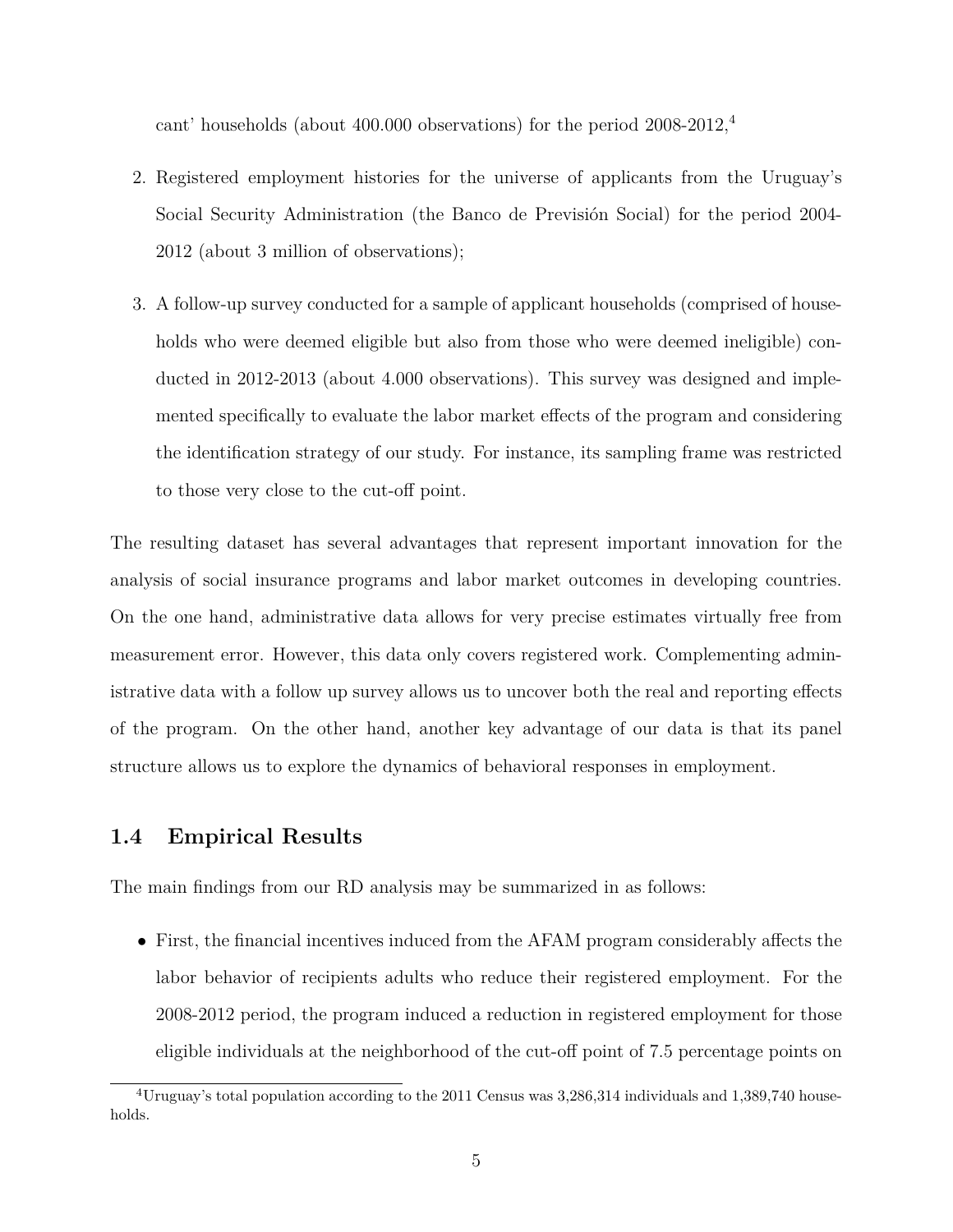cant' households (about 400.000 observations) for the period 2008-2012,<sup>4</sup>

- 2. Registered employment histories for the universe of applicants from the Uruguay's Social Security Administration (the Banco de Previsión Social) for the period 2004- 2012 (about 3 million of observations);
- 3. A follow-up survey conducted for a sample of applicant households (comprised of households who were deemed eligible but also from those who were deemed ineligible) conducted in 2012-2013 (about 4.000 observations). This survey was designed and implemented specifically to evaluate the labor market effects of the program and considering the identification strategy of our study. For instance, its sampling frame was restricted to those very close to the cut-off point.

The resulting dataset has several advantages that represent important innovation for the analysis of social insurance programs and labor market outcomes in developing countries. On the one hand, administrative data allows for very precise estimates virtually free from measurement error. However, this data only covers registered work. Complementing administrative data with a follow up survey allows us to uncover both the real and reporting effects of the program. On the other hand, another key advantage of our data is that its panel structure allows us to explore the dynamics of behavioral responses in employment.

#### **1.4 Empirical Results**

The main findings from our RD analysis may be summarized in as follows:

• First, the financial incentives induced from the AFAM program considerably affects the labor behavior of recipients adults who reduce their registered employment. For the 2008-2012 period, the program induced a reduction in registered employment for those eligible individuals at the neighborhood of the cut-off point of 7.5 percentage points on

<sup>&</sup>lt;sup>4</sup>Uruguay's total population according to the 2011 Census was  $3,286,314$  individuals and  $1,389,740$  households.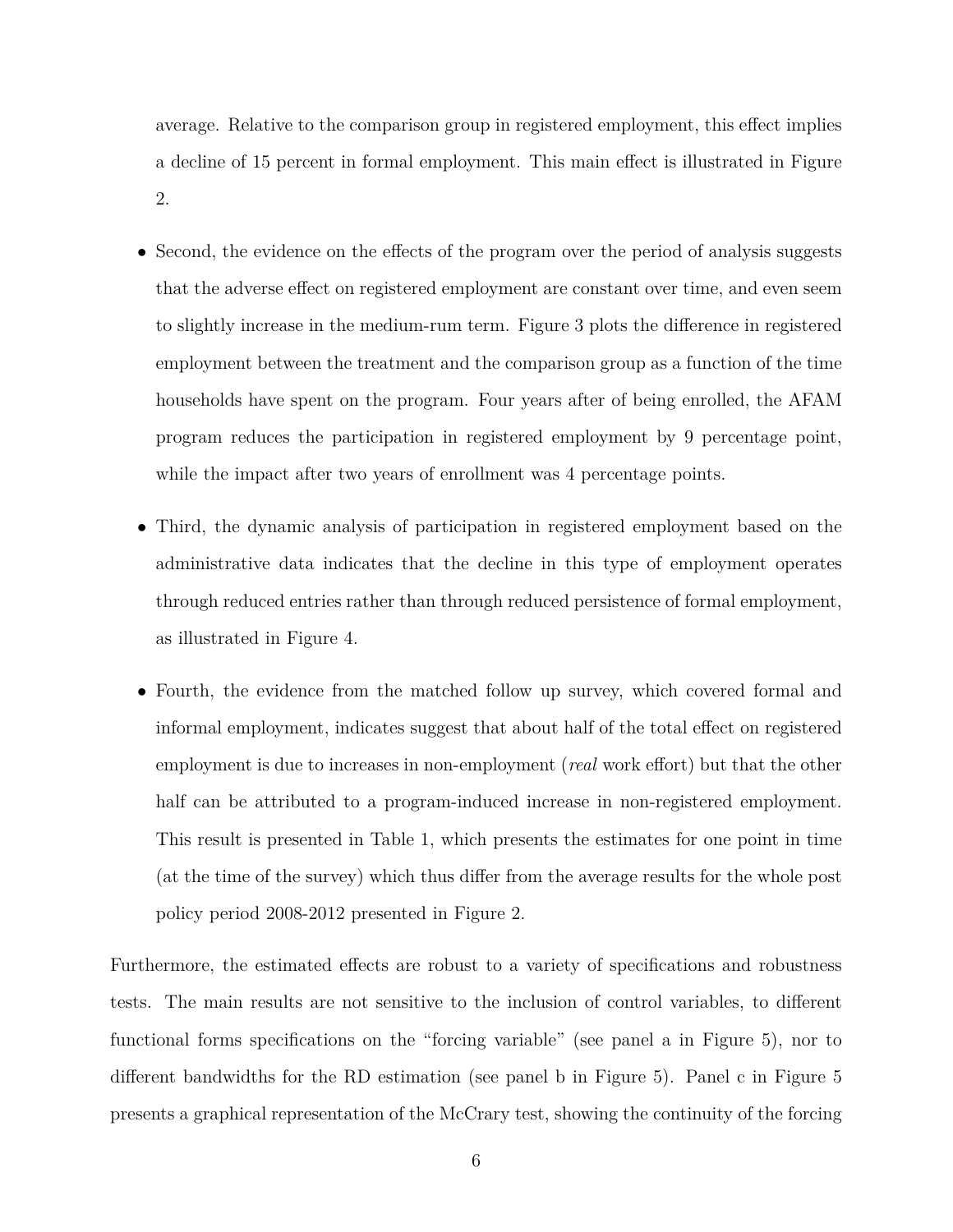average. Relative to the comparison group in registered employment, this effect implies a decline of 15 percent in formal employment. This main effect is illustrated in Figure 2.

- Second, the evidence on the effects of the program over the period of analysis suggests that the adverse effect on registered employment are constant over time, and even seem to slightly increase in the medium-rum term. Figure 3 plots the difference in registered employment between the treatment and the comparison group as a function of the time households have spent on the program. Four years after of being enrolled, the AFAM program reduces the participation in registered employment by 9 percentage point, while the impact after two years of enrollment was 4 percentage points.
- Third, the dynamic analysis of participation in registered employment based on the administrative data indicates that the decline in this type of employment operates through reduced entries rather than through reduced persistence of formal employment, as illustrated in Figure 4.
- Fourth, the evidence from the matched follow up survey, which covered formal and informal employment, indicates suggest that about half of the total effect on registered employment is due to increases in non-employment (*real* work effort) but that the other half can be attributed to a program-induced increase in non-registered employment. This result is presented in Table 1, which presents the estimates for one point in time (at the time of the survey) which thus differ from the average results for the whole post policy period 2008-2012 presented in Figure 2.

Furthermore, the estimated effects are robust to a variety of specifications and robustness tests. The main results are not sensitive to the inclusion of control variables, to different functional forms specifications on the "forcing variable" (see panel a in Figure 5), nor to different bandwidths for the RD estimation (see panel b in Figure 5). Panel c in Figure 5 presents a graphical representation of the McCrary test, showing the continuity of the forcing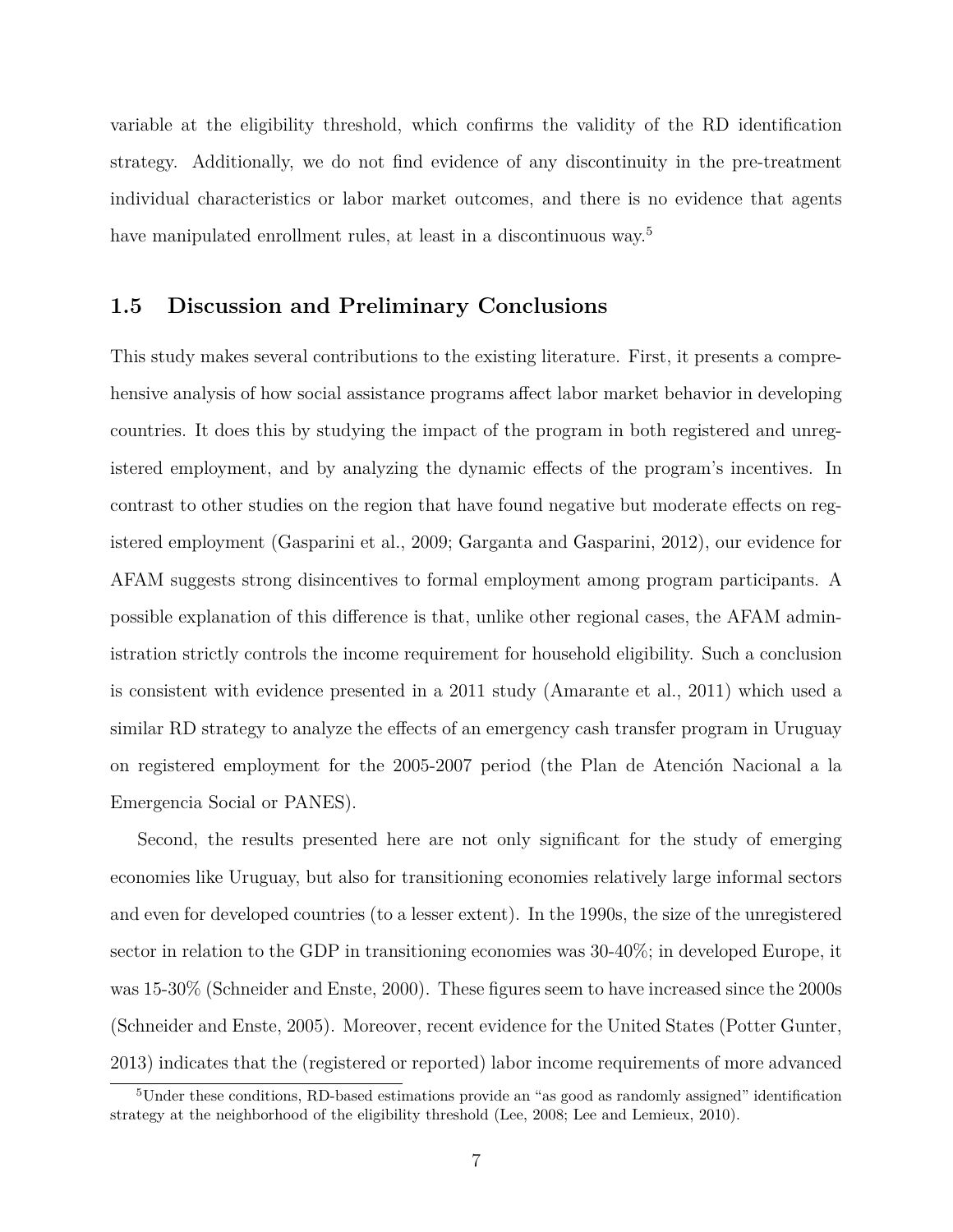variable at the eligibility threshold, which confirms the validity of the RD identification strategy. Additionally, we do not find evidence of any discontinuity in the pre-treatment individual characteristics or labor market outcomes, and there is no evidence that agents have manipulated enrollment rules, at least in a discontinuous way.<sup>5</sup>

#### **1.5 Discussion and Preliminary Conclusions**

This study makes several contributions to the existing literature. First, it presents a comprehensive analysis of how social assistance programs affect labor market behavior in developing countries. It does this by studying the impact of the program in both registered and unregistered employment, and by analyzing the dynamic effects of the program's incentives. In contrast to other studies on the region that have found negative but moderate effects on registered employment (Gasparini et al., 2009; Garganta and Gasparini, 2012), our evidence for AFAM suggests strong disincentives to formal employment among program participants. A possible explanation of this difference is that, unlike other regional cases, the AFAM administration strictly controls the income requirement for household eligibility. Such a conclusion is consistent with evidence presented in a 2011 study (Amarante et al., 2011) which used a similar RD strategy to analyze the effects of an emergency cash transfer program in Uruguay on registered employment for the 2005-2007 period (the Plan de Atención Nacional a la Emergencia Social or PANES).

Second, the results presented here are not only significant for the study of emerging economies like Uruguay, but also for transitioning economies relatively large informal sectors and even for developed countries (to a lesser extent). In the 1990s, the size of the unregistered sector in relation to the GDP in transitioning economies was 30-40%; in developed Europe, it was 15-30% (Schneider and Enste, 2000). These figures seem to have increased since the 2000s (Schneider and Enste, 2005). Moreover, recent evidence for the United States (Potter Gunter, 2013) indicates that the (registered or reported) labor income requirements of more advanced

 ${}^{5}$ Under these conditions, RD-based estimations provide an "as good as randomly assigned" identification strategy at the neighborhood of the eligibility threshold (Lee, 2008; Lee and Lemieux, 2010).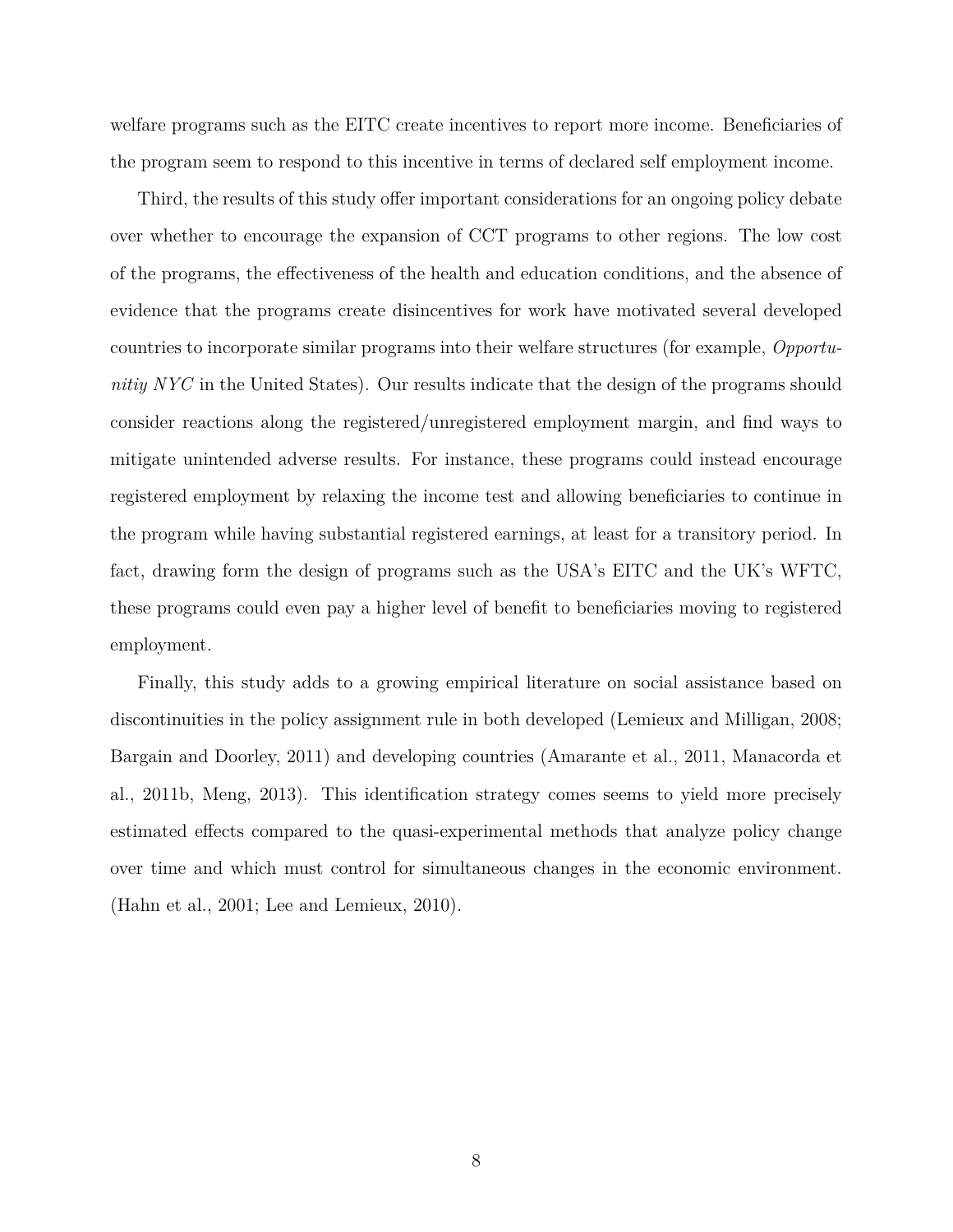welfare programs such as the EITC create incentives to report more income. Beneficiaries of the program seem to respond to this incentive in terms of declared self employment income.

Third, the results of this study offer important considerations for an ongoing policy debate over whether to encourage the expansion of CCT programs to other regions. The low cost of the programs, the effectiveness of the health and education conditions, and the absence of evidence that the programs create disincentives for work have motivated several developed countries to incorporate similar programs into their welfare structures (for example, *Opportunitiy NYC* in the United States). Our results indicate that the design of the programs should consider reactions along the registered/unregistered employment margin, and find ways to mitigate unintended adverse results. For instance, these programs could instead encourage registered employment by relaxing the income test and allowing beneficiaries to continue in the program while having substantial registered earnings, at least for a transitory period. In fact, drawing form the design of programs such as the USA's EITC and the UK's WFTC, these programs could even pay a higher level of benefit to beneficiaries moving to registered employment.

Finally, this study adds to a growing empirical literature on social assistance based on discontinuities in the policy assignment rule in both developed (Lemieux and Milligan, 2008; Bargain and Doorley, 2011) and developing countries (Amarante et al., 2011, Manacorda et al., 2011b, Meng, 2013). This identification strategy comes seems to yield more precisely estimated effects compared to the quasi-experimental methods that analyze policy change over time and which must control for simultaneous changes in the economic environment. (Hahn et al., 2001; Lee and Lemieux, 2010).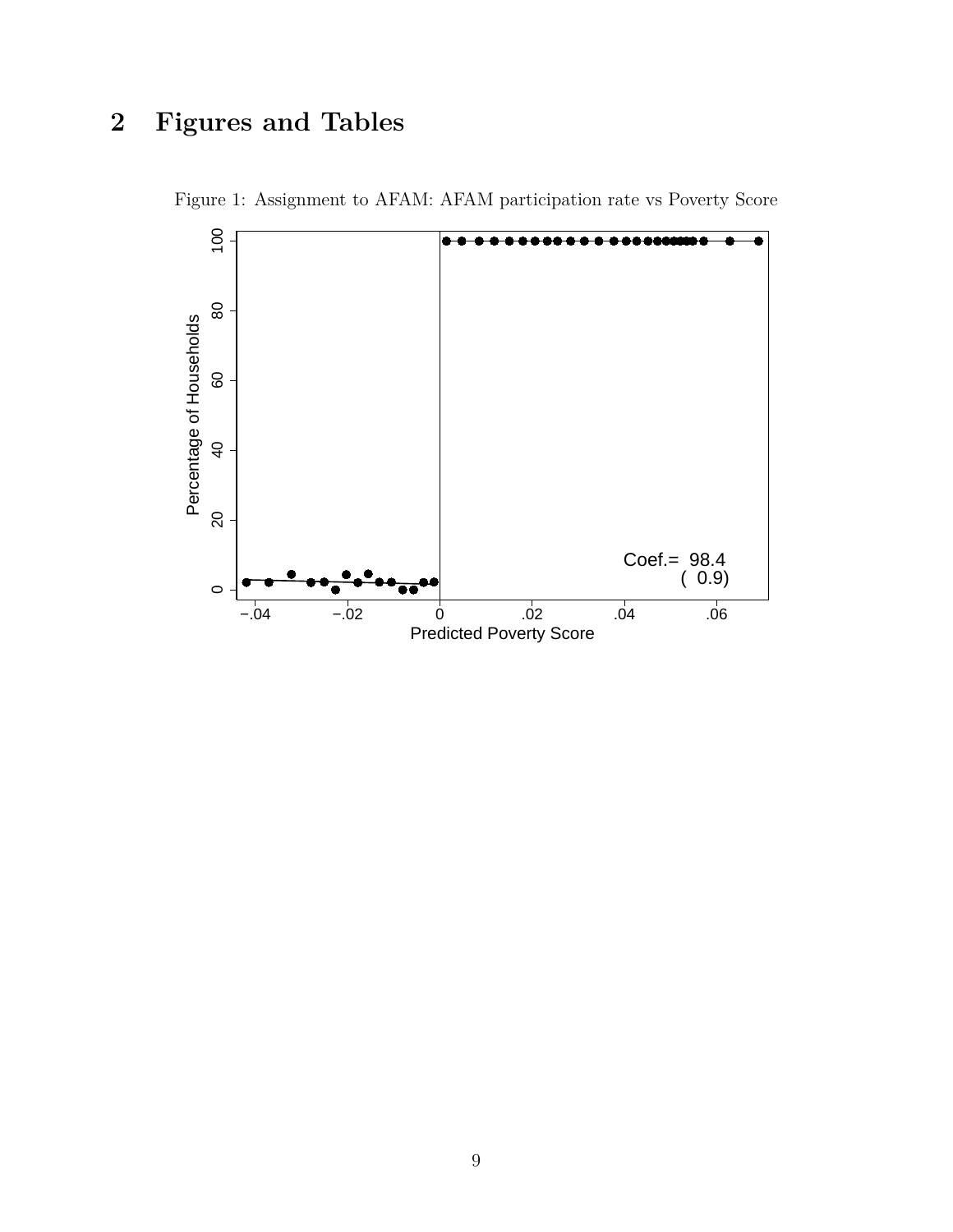# **2 Figures and Tables**



Figure 1: Assignment to AFAM: AFAM participation rate vs Poverty Score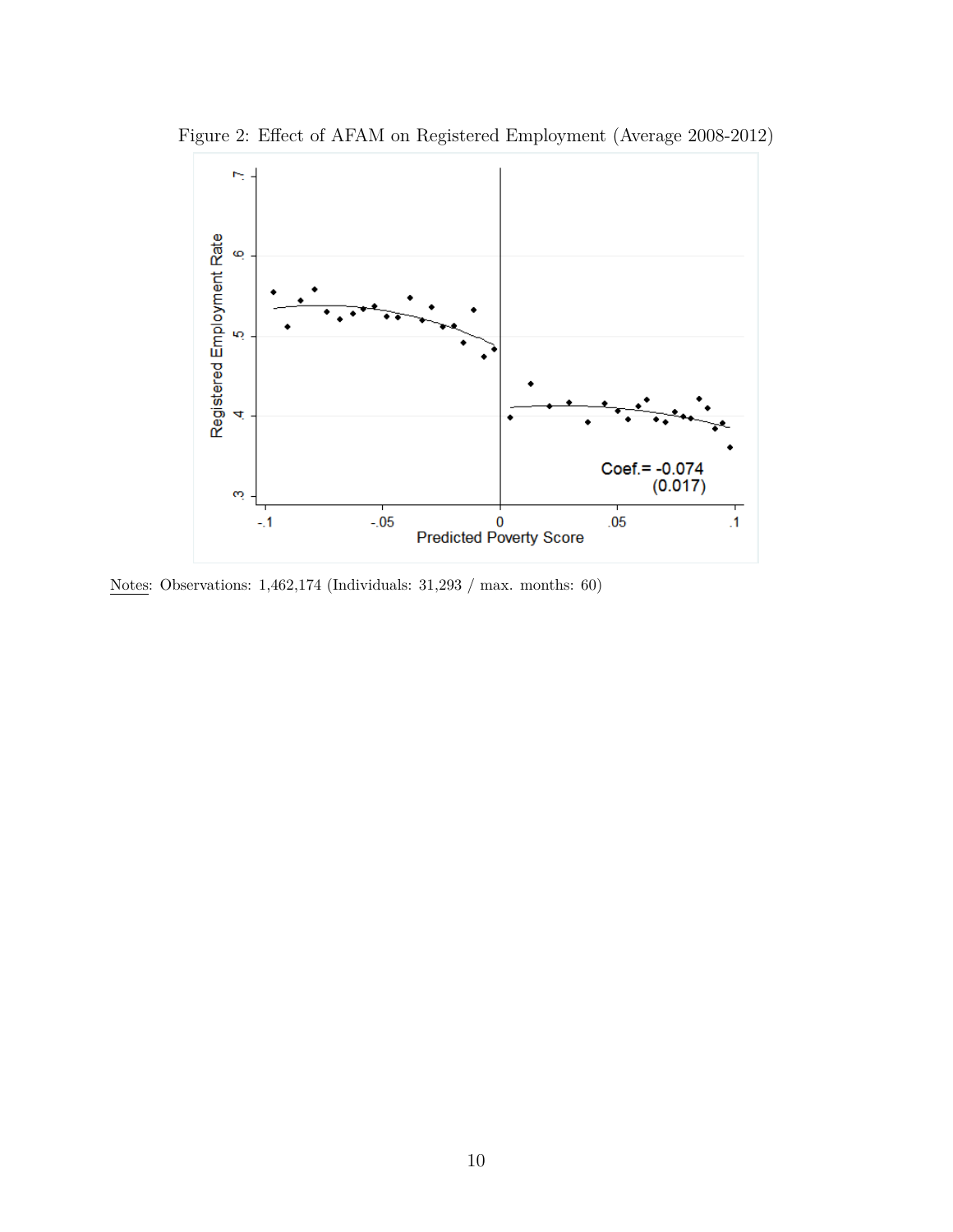



Notes: Observations: 1,462,174 (Individuals: 31,293 / max. months: 60)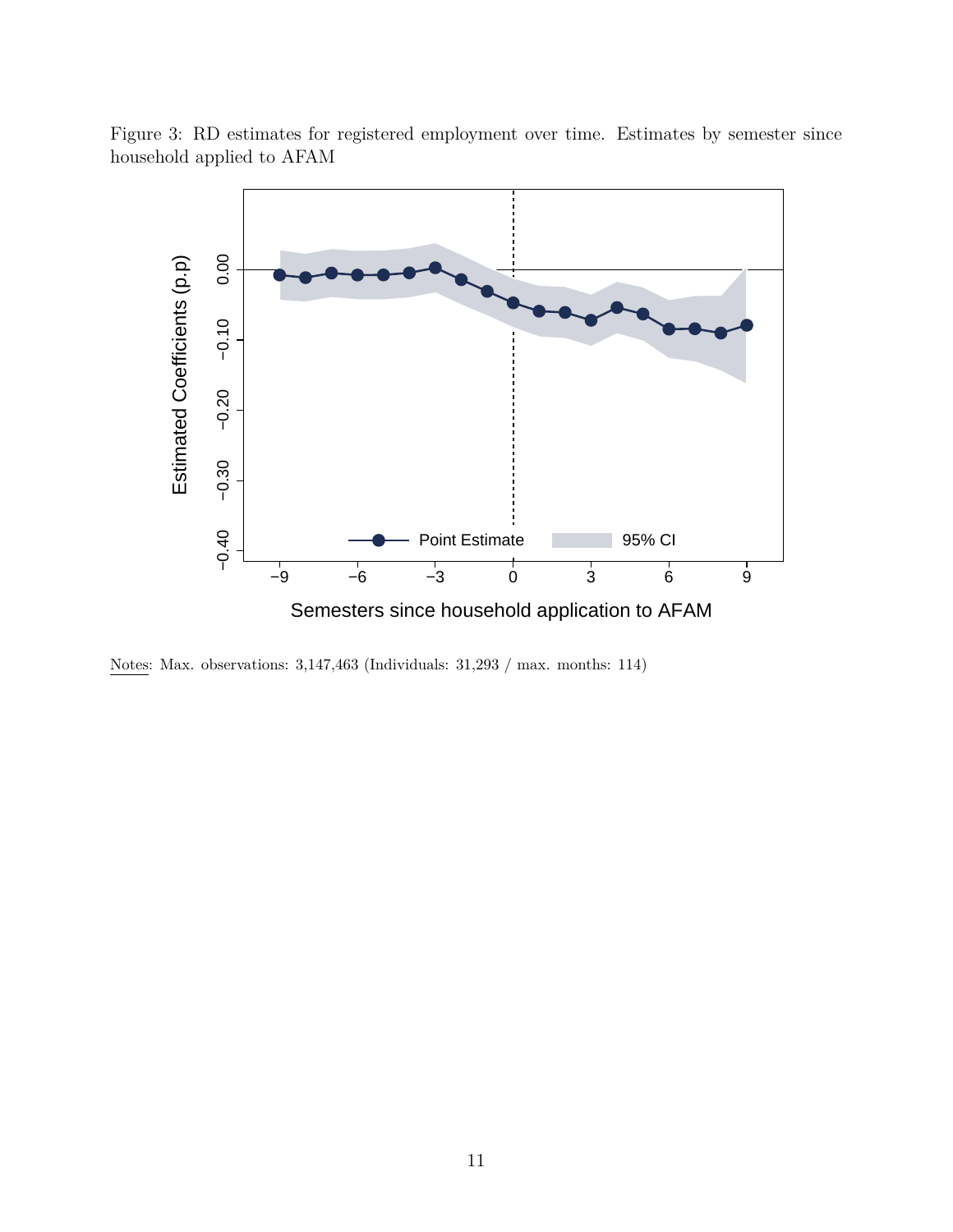

Figure 3: RD estimates for registered employment over time. Estimates by semester since household applied to AFAM

Notes: Max. observations: 3,147,463 (Individuals: 31,293 / max. months: 114)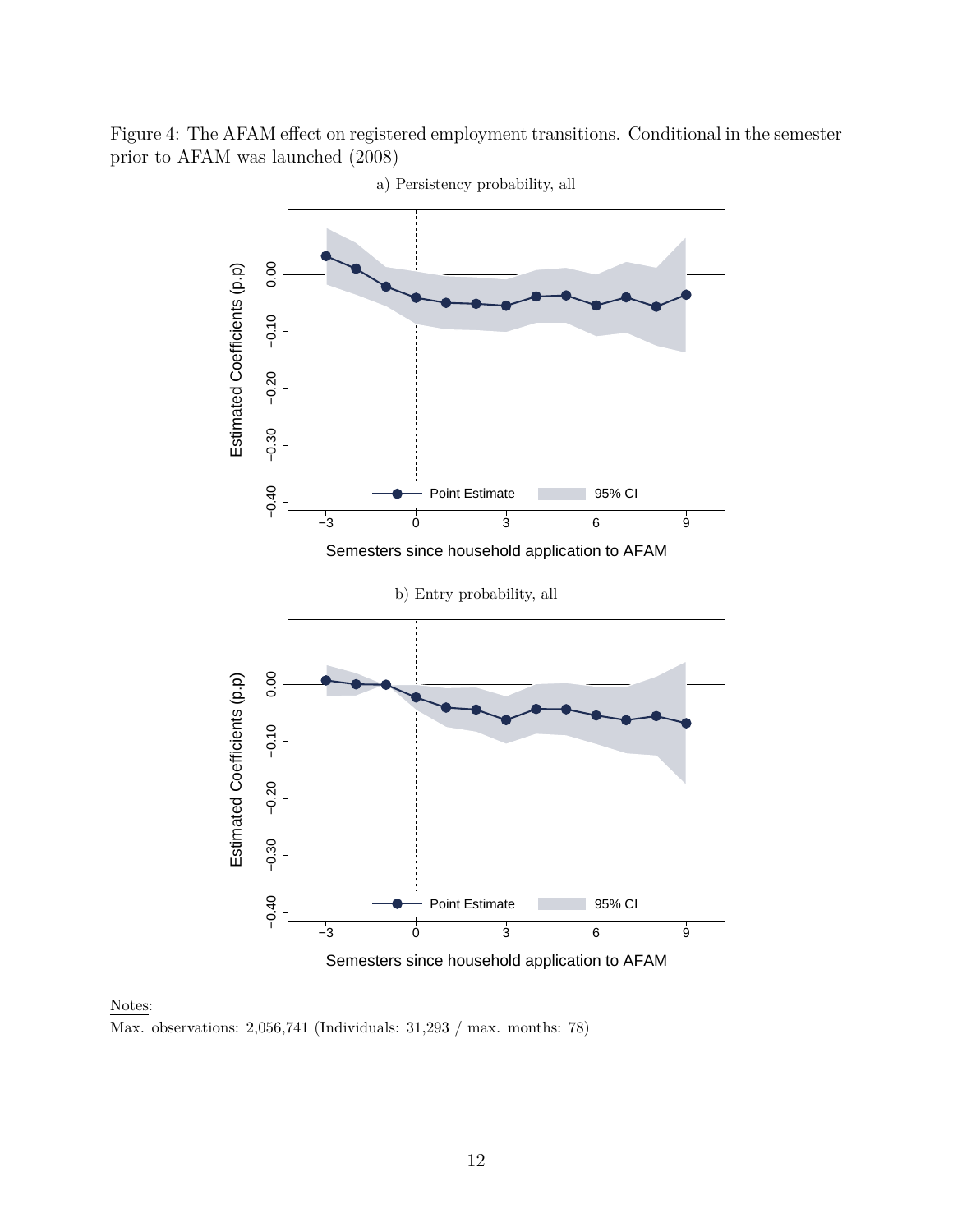Figure 4: The AFAM effect on registered employment transitions. Conditional in the semester prior to AFAM was launched (2008)



a) Persistency probability, all

#### Notes:

Max. observations: 2,056,741 (Individuals: 31,293 / max. months: 78)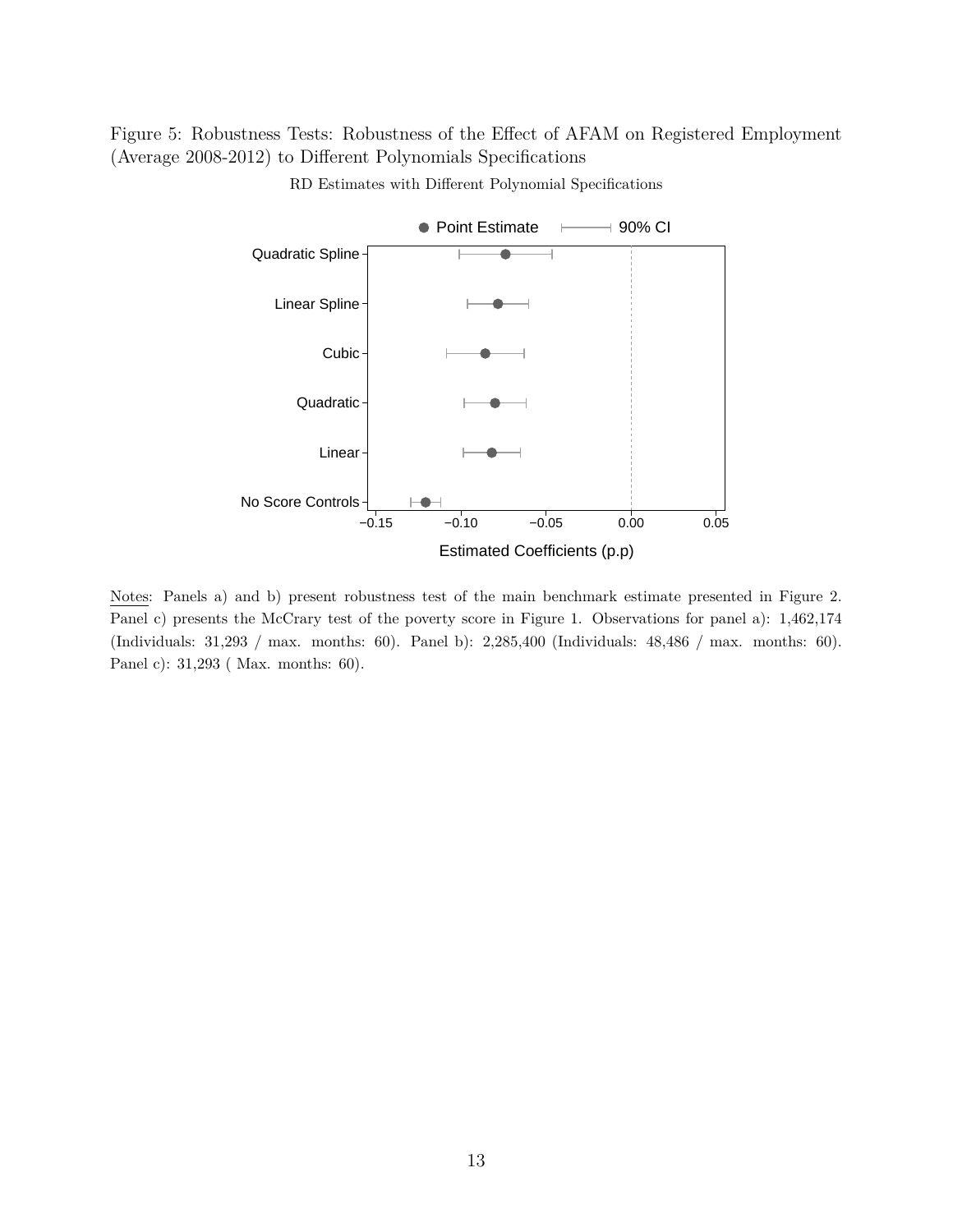Figure 5: Robustness Tests: Robustness of the Effect of AFAM on Registered Employment (Average 2008-2012) to Different Polynomials Specifications



RD Estimates with Different Polynomial Specifications

Notes: Panels a) and b) present robustness test of the main benchmark estimate presented in Figure 2. Panel c) presents the McCrary test of the poverty score in Figure 1. Observations for panel a): 1,462,174 (Individuals: 31,293 / max. months: 60). Panel b): 2,285,400 (Individuals: 48,486 / max. months: 60). Panel c): 31,293 ( Max. months: 60).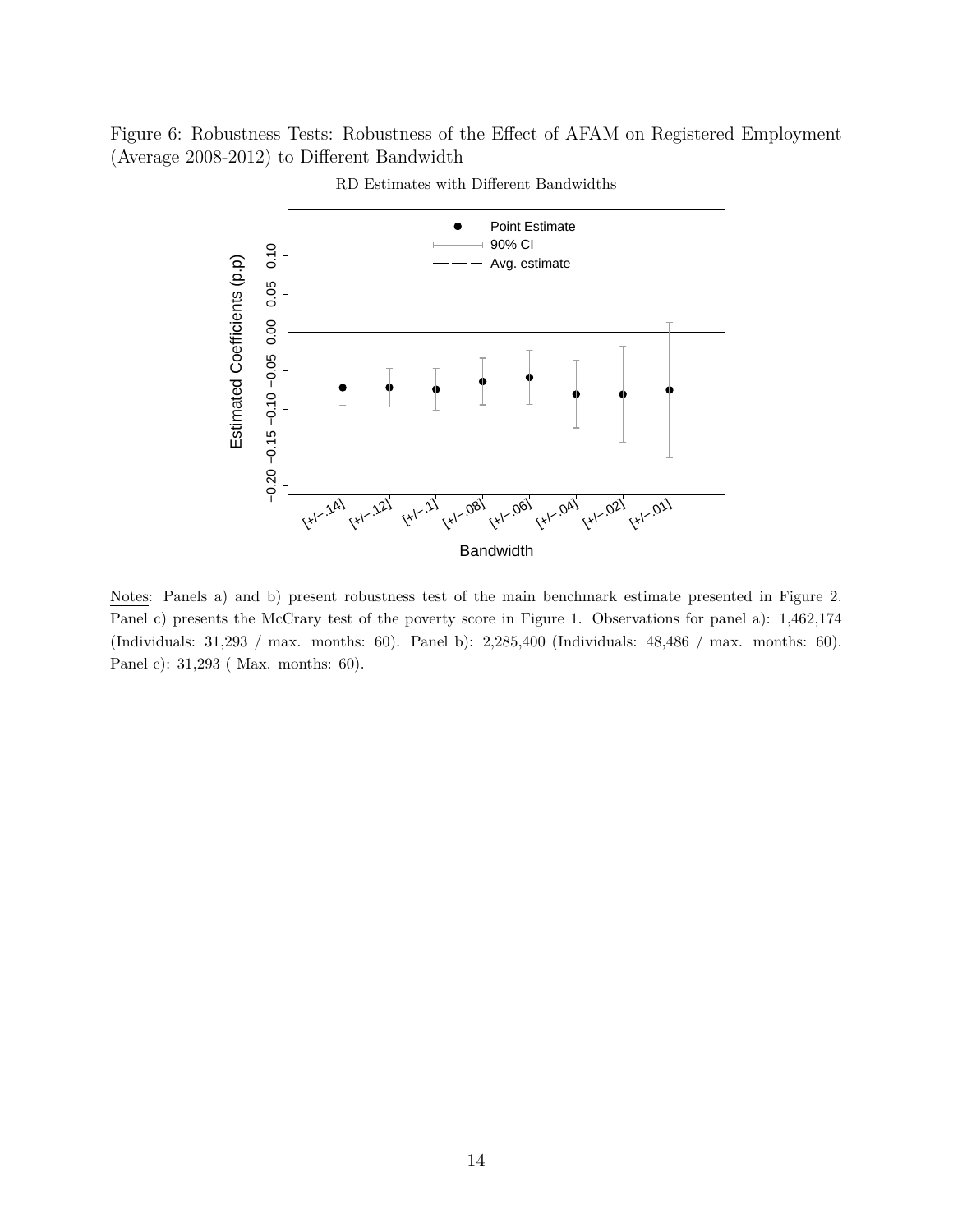Figure 6: Robustness Tests: Robustness of the Effect of AFAM on Registered Employment (Average 2008-2012) to Different Bandwidth



RD Estimates with Different Bandwidths

Notes: Panels a) and b) present robustness test of the main benchmark estimate presented in Figure 2. Panel c) presents the McCrary test of the poverty score in Figure 1. Observations for panel a): 1,462,174 (Individuals: 31,293 / max. months: 60). Panel b): 2,285,400 (Individuals: 48,486 / max. months: 60). Panel c): 31,293 ( Max. months: 60).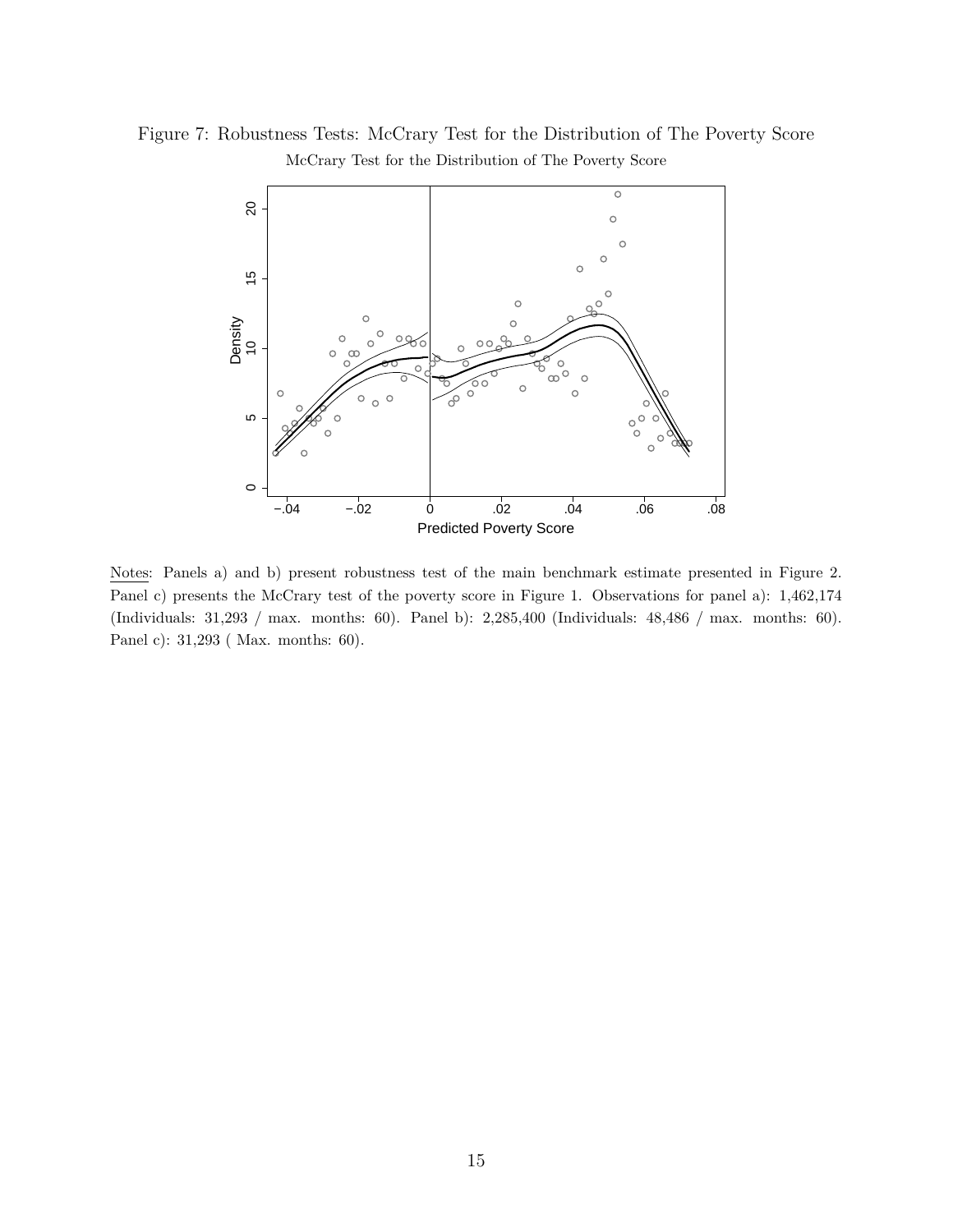Figure 7: Robustness Tests: McCrary Test for the Distribution of The Poverty Score McCrary Test for the Distribution of The Poverty Score



Notes: Panels a) and b) present robustness test of the main benchmark estimate presented in Figure 2. Panel c) presents the McCrary test of the poverty score in Figure 1. Observations for panel a): 1,462,174 (Individuals: 31,293 / max. months: 60). Panel b): 2,285,400 (Individuals: 48,486 / max. months: 60). Panel c): 31,293 ( Max. months: 60).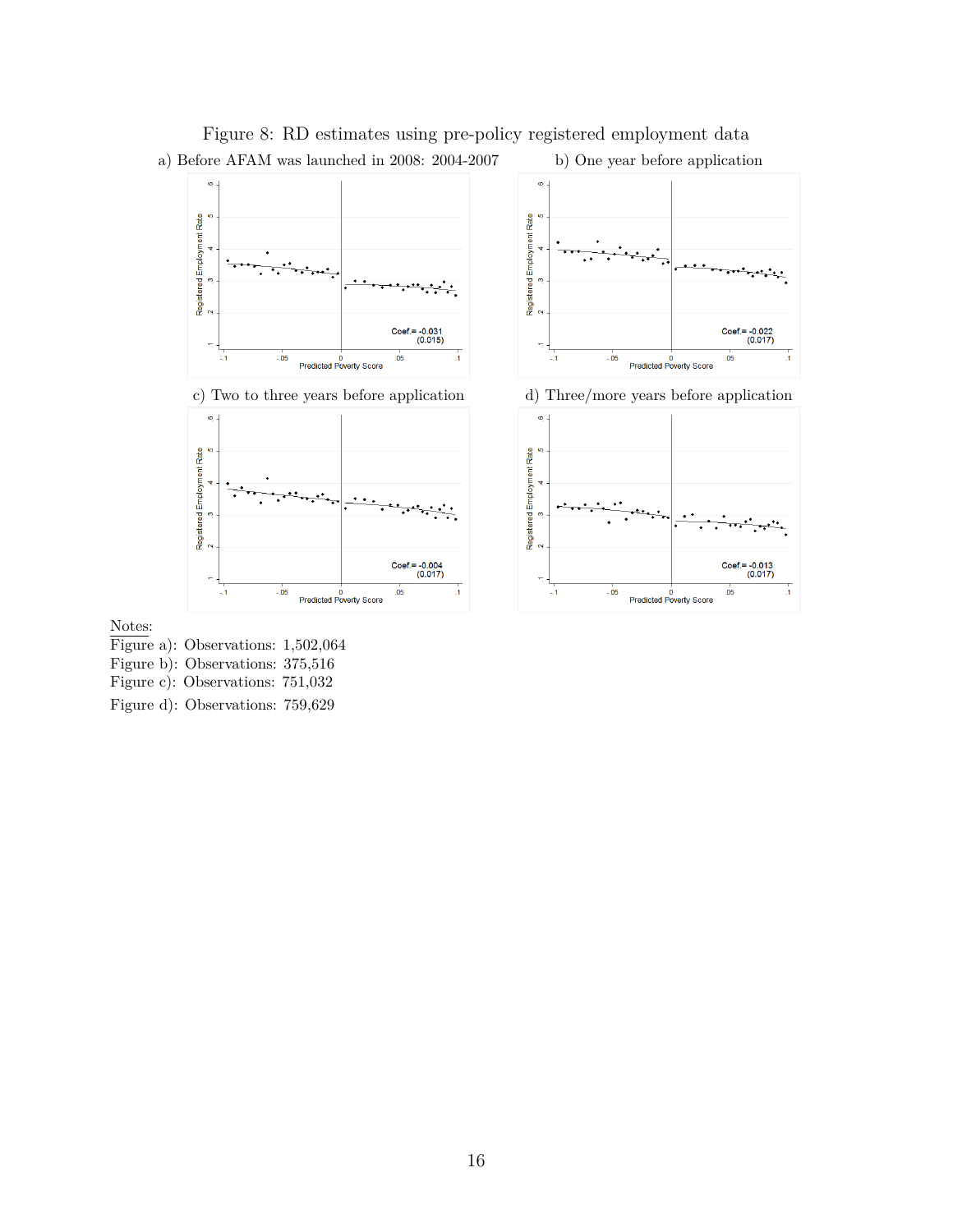

 $Coef = -0.022$ <br>(0.017)

 $Coef = -0.013$ <br>(0.017)

 $.05$ 

 $.05$ 

Figure 8: RD estimates using pre-policy registered employment data

Notes:

- 
- Figure b): Observations: 375,516

Figure c): Observations: 751,032

Figure d): Observations: 759,629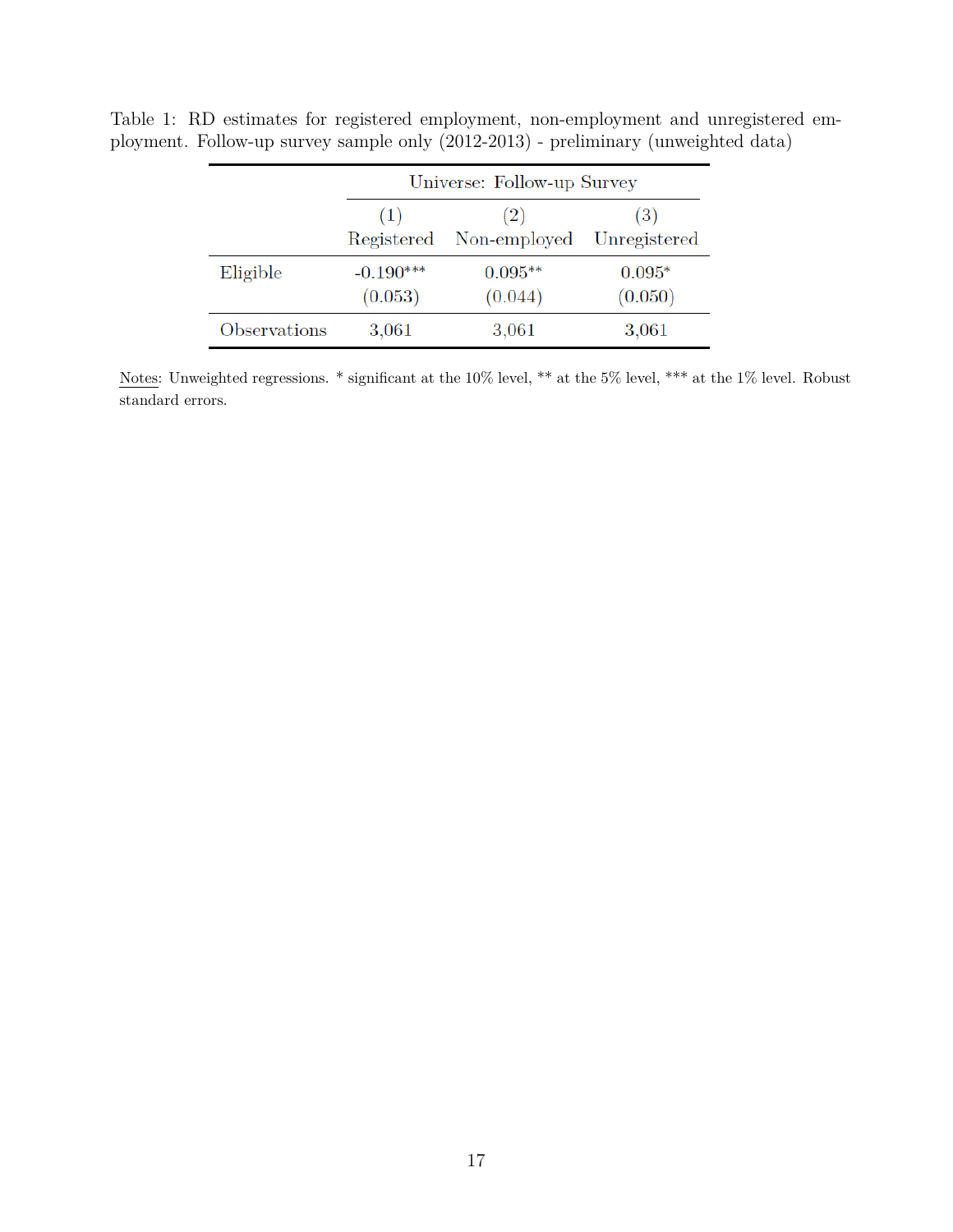|              | Universe: Follow-up Survey |                                |                     |
|--------------|----------------------------|--------------------------------|---------------------|
|              | (1)                        | (2)<br>Registered Non-employed | (3)<br>Unregistered |
| Eligible     | $-0.190***$<br>(0.053)     | $0.095**$<br>(0.044)           | $0.095*$<br>(0.050) |
| Observations | 3,061                      | 3,061                          | $3{,}061$           |

Table 1: RD estimates for registered employment, non-employment and unregistered employment. Follow-up survey sample only (2012-2013) - preliminary (unweighted data)

Notes: Unweighted regressions. \* significant at the 10% level, \*\* at the 5% level, \*\*\* at the 1% level. Robust standard errors.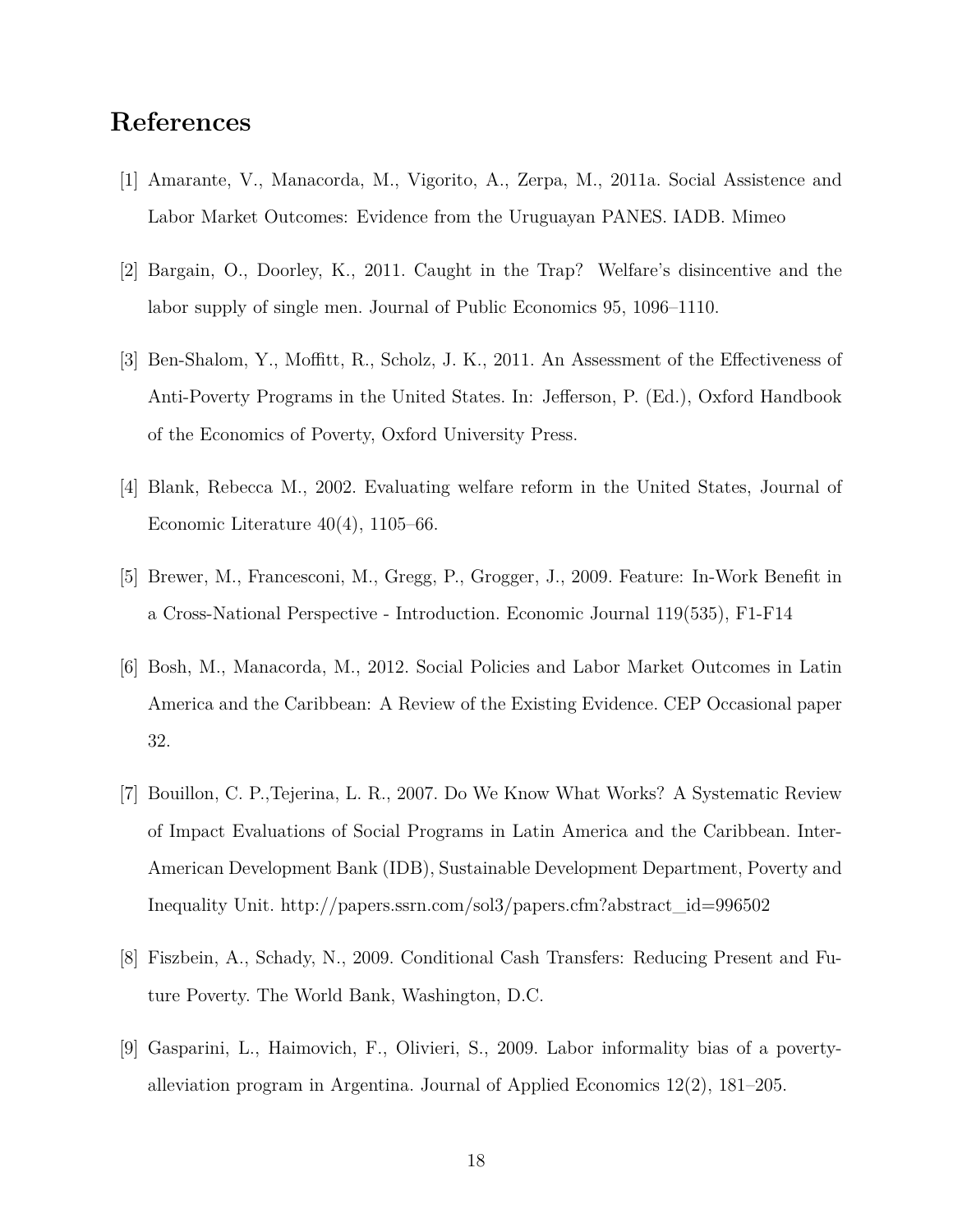## **References**

- [1] Amarante, V., Manacorda, M., Vigorito, A., Zerpa, M., 2011a. Social Assistence and Labor Market Outcomes: Evidence from the Uruguayan PANES. IADB. Mimeo
- [2] Bargain, O., Doorley, K., 2011. Caught in the Trap? Welfare's disincentive and the labor supply of single men. Journal of Public Economics 95, 1096–1110.
- [3] Ben-Shalom, Y., Moffitt, R., Scholz, J. K., 2011. An Assessment of the Effectiveness of Anti-Poverty Programs in the United States. In: Jefferson, P. (Ed.), Oxford Handbook of the Economics of Poverty, Oxford University Press.
- [4] Blank, Rebecca M., 2002. Evaluating welfare reform in the United States, Journal of Economic Literature 40(4), 1105–66.
- [5] Brewer, M., Francesconi, M., Gregg, P., Grogger, J., 2009. Feature: In-Work Benefit in a Cross-National Perspective - Introduction. Economic Journal 119(535), F1-F14
- [6] Bosh, M., Manacorda, M., 2012. Social Policies and Labor Market Outcomes in Latin America and the Caribbean: A Review of the Existing Evidence. CEP Occasional paper 32.
- [7] Bouillon, C. P.,Tejerina, L. R., 2007. Do We Know What Works? A Systematic Review of Impact Evaluations of Social Programs in Latin America and the Caribbean. Inter-American Development Bank (IDB), Sustainable Development Department, Poverty and Inequality Unit. http://papers.ssrn.com/sol3/papers.cfm?abstract\_id=996502
- [8] Fiszbein, A., Schady, N., 2009. Conditional Cash Transfers: Reducing Present and Future Poverty. The World Bank, Washington, D.C.
- [9] Gasparini, L., Haimovich, F., Olivieri, S., 2009. Labor informality bias of a povertyalleviation program in Argentina. Journal of Applied Economics 12(2), 181–205.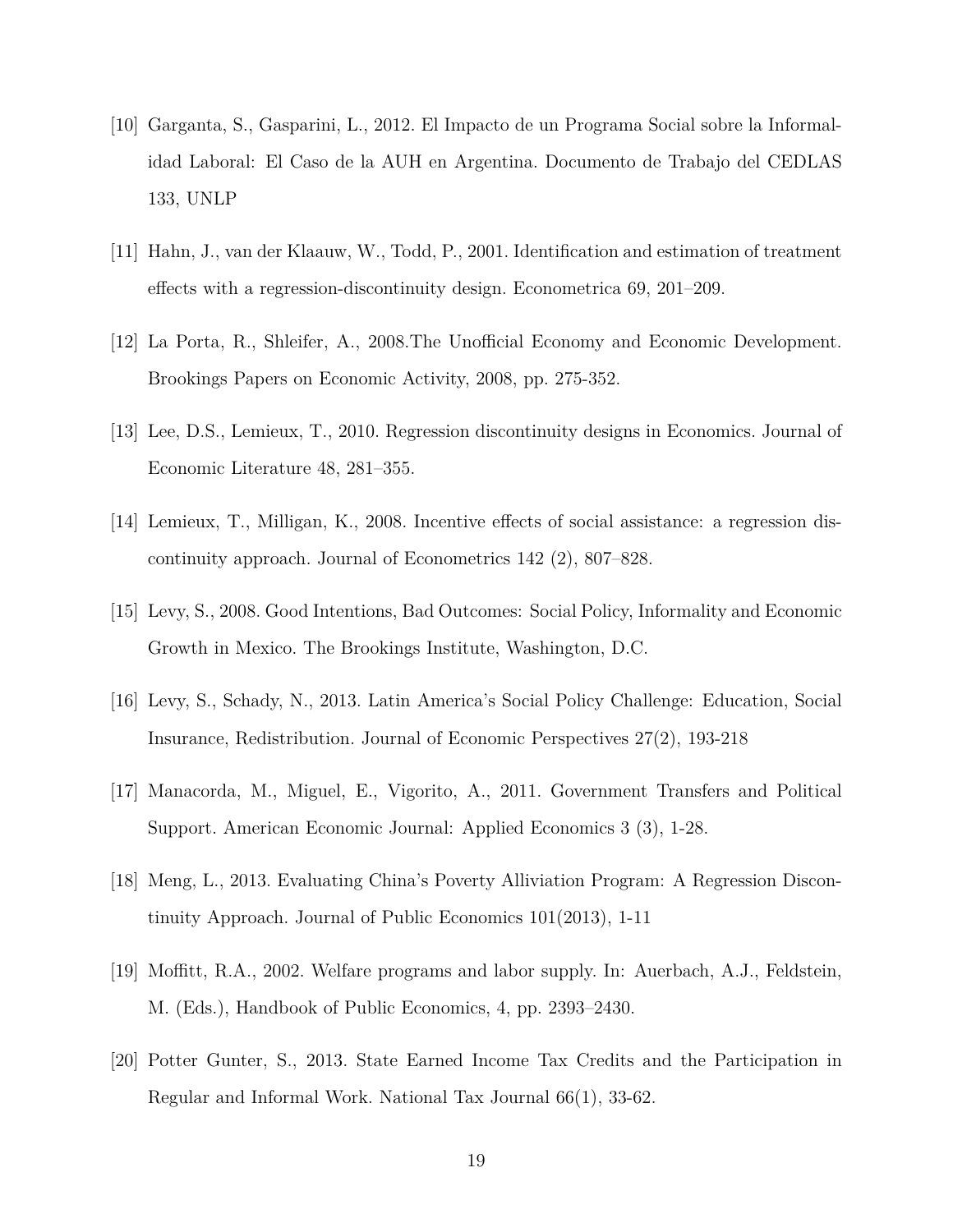- [10] Garganta, S., Gasparini, L., 2012. El Impacto de un Programa Social sobre la Informalidad Laboral: El Caso de la AUH en Argentina. Documento de Trabajo del CEDLAS 133, UNLP
- [11] Hahn, J., van der Klaauw, W., Todd, P., 2001. Identification and estimation of treatment effects with a regression-discontinuity design. Econometrica 69, 201–209.
- [12] La Porta, R., Shleifer, A., 2008.The Unofficial Economy and Economic Development. Brookings Papers on Economic Activity, 2008, pp. 275-352.
- [13] Lee, D.S., Lemieux, T., 2010. Regression discontinuity designs in Economics. Journal of Economic Literature 48, 281–355.
- [14] Lemieux, T., Milligan, K., 2008. Incentive effects of social assistance: a regression discontinuity approach. Journal of Econometrics 142 (2), 807–828.
- [15] Levy, S., 2008. Good Intentions, Bad Outcomes: Social Policy, Informality and Economic Growth in Mexico. The Brookings Institute, Washington, D.C.
- [16] Levy, S., Schady, N., 2013. Latin America's Social Policy Challenge: Education, Social Insurance, Redistribution. Journal of Economic Perspectives 27(2), 193-218
- [17] Manacorda, M., Miguel, E., Vigorito, A., 2011. Government Transfers and Political Support. American Economic Journal: Applied Economics 3 (3), 1-28.
- [18] Meng, L., 2013. Evaluating China's Poverty Alliviation Program: A Regression Discontinuity Approach. Journal of Public Economics 101(2013), 1-11
- [19] Moffitt, R.A., 2002. Welfare programs and labor supply. In: Auerbach, A.J., Feldstein, M. (Eds.), Handbook of Public Economics, 4, pp. 2393–2430.
- [20] Potter Gunter, S., 2013. State Earned Income Tax Credits and the Participation in Regular and Informal Work. National Tax Journal 66(1), 33-62.